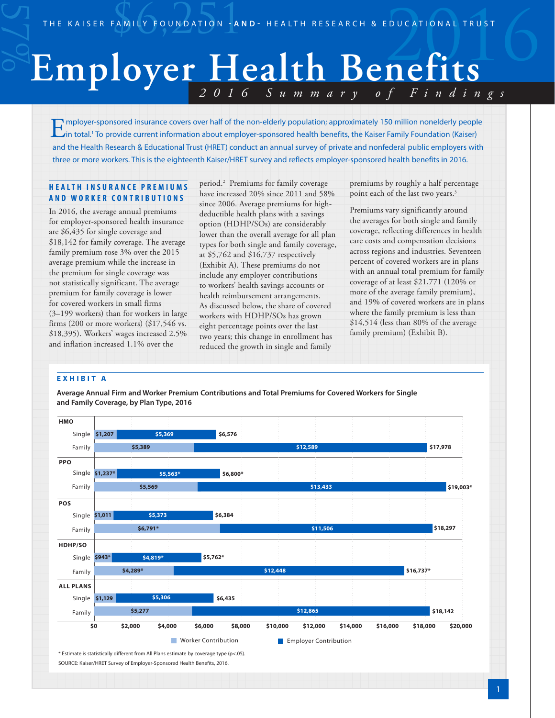# THE KAISER FAMILY FOUNDATION -AND- HEALTH RESEARCH & EDUCATIONAL TRUST *2016 Summary of Findings* **Employer Health Benefits**

mployer-sponsored insurance covers over half of the non-elderly population; approximately 150 million nonelderly people<br>in total.<sup>1</sup> To provide current information about employer-sponsored health benefits, the Kaiser Famil and the Health Research & Educational Trust (HRET) conduct an annual survey of private and nonfederal public employers with three or more workers. This is the eighteenth Kaiser/HRET survey and reflects employer-sponsored health benefits in 2016.

# **H E A L T H I N S U R A N C E P R E M I U M S AND WORKER CONTRIBUTIONS**

In 2016, the average annual premiums for employer-sponsored health insurance are \$6,435 for single coverage and \$18,142 for family coverage. The average family premium rose 3% over the 2015 average premium while the increase in the premium for single coverage was not statistically significant. The average premium for family coverage is lower for covered workers in small firms (3–199 workers) than for workers in large firms (200 or more workers) (\$17,546 vs. \$18,395). Workers' wages increased 2.5% and inflation increased 1.1% over the

period.2 Premiums for family coverage have increased 20% since 2011 and 58% since 2006. Average premiums for highdeductible health plans with a savings option (HDHP/SOs) are considerably lower than the overall average for all plan types for both single and family coverage, at \$5,762 and \$16,737 respectively (Exhibit A). These premiums do not include any employer contributions to workers' health savings accounts or health reimbursement arrangements. As discussed below, the share of covered workers with HDHP/SOs has grown eight percentage points over the last two years; this change in enrollment has reduced the growth in single and family

premiums by roughly a half percentage point each of the last two years.<sup>3</sup>

Premiums vary significantly around the averages for both single and family coverage, reflecting differences in health care costs and compensation decisions across regions and industries. Seventeen percent of covered workers are in plans with an annual total premium for family coverage of at least \$21,771 (120% or more of the average family premium), and 19% of covered workers are in plans where the family premium is less than \$14,514 (less than 80% of the average family premium) (Exhibit B).

# **EXHIBIT A**

**Average Annual Firm and Worker Premium Contributions and Total Premiums for Covered Workers for Single and Family Coverage, by Plan Type, 2016**

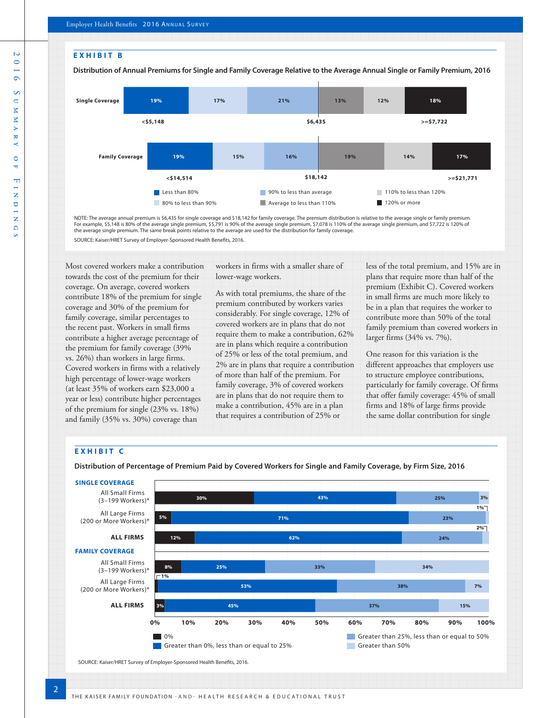S.



NOTE: The average annual premium is \$6,435 for single coverage and \$18,142 for family coverage. The premium distribution is relative to the average single or family premium. For example, \$5,148 is 80% of the average single premium, \$5,791 is 90% of the average single premium, \$7,078 is 110% of the average single premium, and \$7,722 is 120% of the average single premium. The same break points relative to the average are used for the distribution for family coverage.

SOURCE: Kaiser/HRET Survey of Employer-Sponsored Health Benefits, 2016.

Most covered workers make a contribution towards the cost of the premium for their coverage. On average, covered workers contribute 18% of the premium for single coverage and 30% of the premium for family coverage, similar percentages to the recent past. Workers in small firms contribute a higher average percentage of the premium for family coverage (39% vs. 26%) than workers in large firms. Covered workers in firms with a relatively high percentage of lower-wage workers (at least 35% of workers earn \$23,000 a year or less) contribute higher percentages of the premium for single (23% vs. 18%) and family (35% vs. 30%) coverage than

workers in firms with a smaller share of lower-wage workers.

As with total premiums, the share of the premium contributed by workers varies considerably. For single coverage, 12% of covered workers are in plans that do not require them to make a contribution, 62% are in plans which require a contribution of 25% or less of the total premium, and 2% are in plans that require a contribution of more than half of the premium. For family coverage, 3% of covered workers are in plans that do not require them to make a contribution, 45% are in a plan that requires a contribution of 25% or

less of the total premium, and 15% are in plans that require more than half of the premium (Exhibit C). Covered workers in small firms are much more likely to be in a plan that requires the worker to contribute more than 50% of the total family premium than covered workers in larger firms (34% vs. 7%).

One reason for this variation is the different approaches that employers use to structure employee contributions, particularly for family coverage. Of firms that offer family coverage: 45% of small firms and 18% of large firms provide the same dollar contribution for single

# **EXHIBIT C**

 $\overline{\mathcal{L}}$ 

**Distribution of Percentage of Premium Paid by Covered Workers for Single and Family Coverage, by Firm Size, 2016**

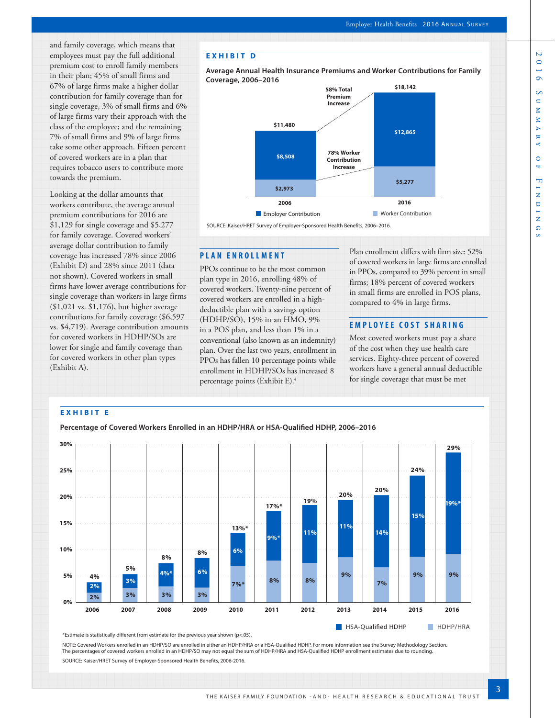and family coverage, which means that employees must pay the full additional premium cost to enroll family members in their plan; 45% of small firms and 67% of large firms make a higher dollar contribution for family coverage than for single coverage, 3% of small firms and 6% of large firms vary their approach with the class of the employee; and the remaining 7% of small firms and 9% of large firms take some other approach. Fifteen percent of covered workers are in a plan that requires tobacco users to contribute more towards the premium.

Looking at the dollar amounts that workers contribute, the average annual premium contributions for 2016 are \$1,129 for single coverage and \$5,277 for family coverage. Covered workers' average dollar contribution to family coverage has increased 78% since 2006 (Exhibit D) and 28% since 2011 (data not shown). Covered workers in small firms have lower average contributions for single coverage than workers in large firms (\$1,021 vs. \$1,176), but higher average contributions for family coverage (\$6,597 vs. \$4,719). Average contribution amounts for covered workers in HDHP/SOs are lower for single and family coverage than for covered workers in other plan types (Exhibit A).

# **EXHIBIT D**

**Average Annual Health Insurance Premiums and Worker Contributions for Family Coverage, 2006–2016**



SOURCE: Kaiser/HRET Survey of Employer-Sponsored Health Benefits, 2006–2016.

## **PLAN ENROLLMENT**

PPOs continue to be the most common plan type in 2016, enrolling 48% of covered workers. Twenty-nine percent of covered workers are enrolled in a highdeductible plan with a savings option (HDHP/SO), 15% in an HMO, 9% in a POS plan, and less than 1% in a conventional (also known as an indemnity) plan. Over the last two years, enrollment in PPOs has fallen 10 percentage points while enrollment in HDHP/SOs has increased 8 percentage points (Exhibit E).4

Plan enrollment differs with firm size: 52% of covered workers in large firms are enrolled in PPOs, compared to 39% percent in small firms; 18% percent of covered workers in small firms are enrolled in POS plans, compared to 4% in large firms.

# **EMPLOYEE COST SHARING**

Most covered workers must pay a share of the cost when they use health care services. Eighty-three percent of covered workers have a general annual deductible for single coverage that must be met



\*Estimate is statistically different from estimate for the previous year shown (p<.05).

NOTE: Covered Workers enrolled in an HDHP/SO are enrolled in either an HDHP/HRA or a HSA-Qualified HDHP. For more information see the Survey Methodology Section. The percentages of covered workers enrolled in an HDHP/SO may not equal the sum of HDHP/HRA and HSA-Qualified HDHP enrollment estimates due to rounding.

SOURCE: Kaiser/HRET Survey of Employer-Sponsored Health Benefits, 2006-2016.

Ñ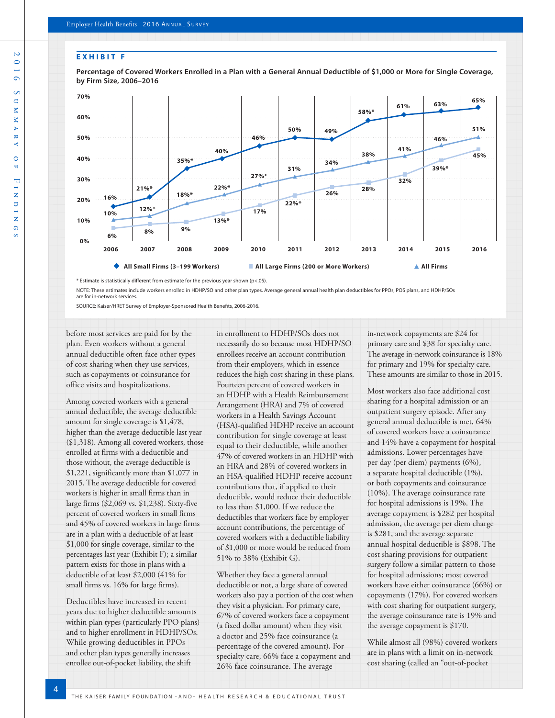#### **EXHIBIT F**



**Percentage of Covered Workers Enrolled in a Plan with a General Annual Deductible of \$1,000 or More for Single Coverage, by Firm Size, 2006–2016**

\* Estimate is statistically different from estimate for the previous year shown (p<.05).

NOTE: These estimates include workers enrolled in HDHP/SO and other plan types. Average general annual health plan deductibles for PPOs, POS plans, and HDHP/SOs are for in-network services.

SOURCE: Kaiser/HRET Survey of Employer-Sponsored Health Benefits, 2006-2016.

before most services are paid for by the plan. Even workers without a general such as copayments or coinsurance for office visits and hospitalizations.

Among covered workers with a general annual deductible, the average deductible amount for single coverage is \$1,478, higher than the average deductible last year (\$1,318). Among all covered workers, those enrolled at firms with a deductible and those without, the average deductible is \$1,221, significantly more than \$1,077 in 2015. The average deductible for covered workers is higher in small firms than in large firms (\$2,069 vs. \$1,238). Sixty-five percent of covered workers in small firms and 45% of covered workers in large firms are in a plan with a deductible of at least \$1,000 for single coverage, similar to the percentages last year (Exhibit F); a similar pattern exists for those in plans with a deductible of at least \$2,000 (41% for small firms vs. 16% for large firms).

Deductibles have increased in recent years due to higher deductible amounts within plan types (particularly PPO plans) and to higher enrollment in HDHP/SOs. While growing deductibles in PPOs and other plan types generally increases enrollee out-of-pocket liability, the shift

in enrollment to HDHP/SOs does not necessarily do so because most HDHP/SO enrollees receive an account contribution from their employers, which in essence reduces the high cost sharing in these plans. Fourteen percent of covered workers in an HDHP with a Health Reimbursement Arrangement (HRA) and 7% of covered workers in a Health Savings Account (HSA)-qualified HDHP receive an account contribution for single coverage at least equal to their deductible, while another 47% of covered workers in an HDHP with an HRA and 28% of covered workers in an HSA-qualified HDHP receive account contributions that, if applied to their deductible, would reduce their deductible to less than \$1,000. If we reduce the deductibles that workers face by employer account contributions, the percentage of covered workers with a deductible liability of \$1,000 or more would be reduced from 51% to 38% (Exhibit G).

Whether they face a general annual deductible or not, a large share of covered workers also pay a portion of the cost when they visit a physician. For primary care, 67% of covered workers face a copayment (a fixed dollar amount) when they visit a doctor and 25% face coinsurance (a percentage of the covered amount). For specialty care, 66% face a copayment and 26% face coinsurance. The average

in-network copayments are \$24 for primary care and \$38 for specialty care. The average in-network coinsurance is 18% for primary and 19% for specialty care. These amounts are similar to those in 2015.

Most workers also face additional cost sharing for a hospital admission or an outpatient surgery episode. After any general annual deductible is met, 64% of covered workers have a coinsurance and 14% have a copayment for hospital admissions. Lower percentages have per day (per diem) payments (6%), a separate hospital deductible (1%), or both copayments and coinsurance (10%). The average coinsurance rate for hospital admissions is 19%. The average copayment is \$282 per hospital admission, the average per diem charge is \$281, and the average separate annual hospital deductible is \$898. The cost sharing provisions for outpatient surgery follow a similar pattern to those for hospital admissions; most covered workers have either coinsurance (66%) or copayments (17%). For covered workers with cost sharing for outpatient surgery, the average coinsurance rate is 19% and the average copayment is \$170.

While almost all (98%) covered workers are in plans with a limit on in-network cost sharing (called an "out-of-pocket

annual deductible often face other types of cost sharing when they use services,

THE KAISER FAMILY FOUNDATION -AND- HEALTH RESEARCH & EDUCATIONAL TRUST 4

 $\overline{D}$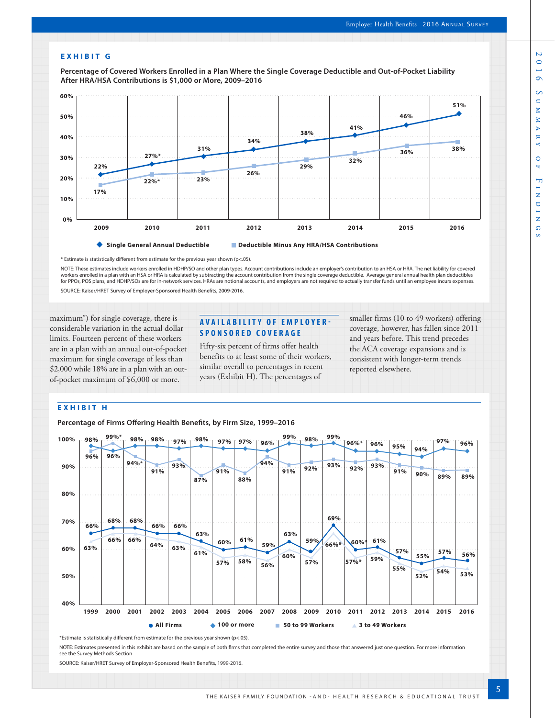#### **EXHIBIT G**

**Percentage of Covered Workers Enrolled in a Plan Where the Single Coverage Deductible and Out-of-Pocket Liability After HRA/HSA Contributions is \$1,000 or More, 2009–2016**



\* Estimate is statistically different from estimate for the previous year shown (p<.05).

NOTE: These estimates include workers enrolled in HDHP/SO and other plan types. Account contributions include an employer's contribution to an HSA or HRA. The net liability for covered workers enrolled in a plan with an HSA or HRA is calculated by subtracting the account contribution from the single coverage deductible. Average general annual health plan deductibles for PPOs, POS plans, and HDHP/SOs are for in-network services. HRAs are notional accounts, and employers are not required to actually transfer funds until an employee incurs expenses. SOURCE: Kaiser/HRET Survey of Employer-Sponsored Health Benefits, 2009-2016.

maximum") for single coverage, there is considerable variation in the actual dollar limits. Fourteen percent of these workers are in a plan with an annual out-of-pocket maximum for single coverage of less than \$2,000 while 18% are in a plan with an outof-pocket maximum of \$6,000 or more.

# **AVAILABILITY OF EMPLOYER-SPONSORED COVERAGE**

Fifty-six percent of firms offer health benefits to at least some of their workers, similar overall to percentages in recent years (Exhibit H). The percentages of

smaller firms (10 to 49 workers) offering coverage, however, has fallen since 2011 and years before. This trend precedes the ACA coverage expansions and is consistent with longer-term trends reported elsewhere.

## **EXHIBIT H**

**Percentage of Firms Offering Health Benefits, by Firm Size, 1999–2016**



\*Estimate is statistically different from estimate for the previous year shown (p<.05).

NOTE: Estimates presented in this exhibit are based on the sample of both firms that completed the entire survey and those that answered just one question. For more information see the Survey Methods Section

SOURCE: Kaiser/HRET Survey of Employer-Sponsored Health Benefits, 1999-2016.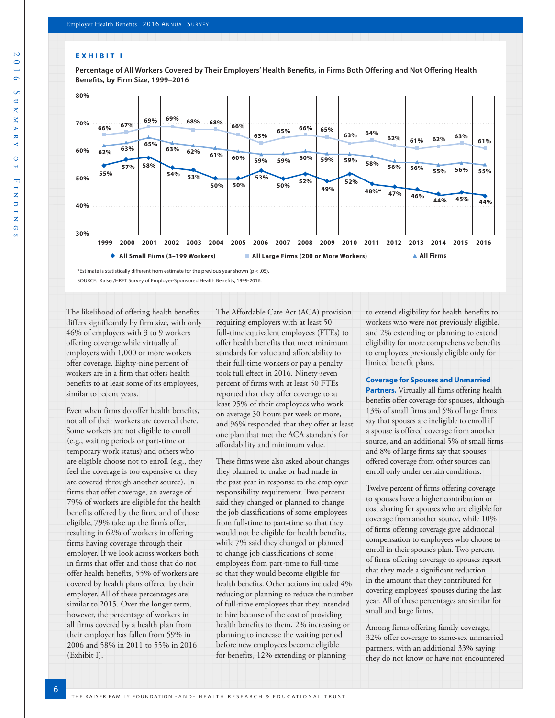#### **EXHIBIT I**

**Percentage of All Workers Covered by Their Employers' Health Benefits, in Firms Both Offering and Not Offering Health Benefits, by Firm Size, 1999–2016**



\*Estimate is statistically different from estimate for the previous year shown (p < .05). SOURCE: Kaiser/HRET Survey of Employer-Sponsored Health Benefits, 1999-2016.

The likelihood of offering health benefits differs significantly by firm size, with only 46% of employers with 3 to 9 workers offering coverage while virtually all employers with 1,000 or more workers offer coverage. Eighty-nine percent of workers are in a firm that offers health benefits to at least some of its employees, similar to recent years.

Even when firms do offer health benefits, not all of their workers are covered there. Some workers are not eligible to enroll (e.g., waiting periods or part-time or temporary work status) and others who are eligible choose not to enroll (e.g., they feel the coverage is too expensive or they are covered through another source). In firms that offer coverage, an average of 79% of workers are eligible for the health benefits offered by the firm, and of those eligible, 79% take up the firm's offer, resulting in 62% of workers in offering firms having coverage through their employer. If we look across workers both in firms that offer and those that do not offer health benefits, 55% of workers are covered by health plans offered by their employer. All of these percentages are similar to 2015. Over the longer term, however, the percentage of workers in all firms covered by a health plan from their employer has fallen from 59% in 2006 and 58% in 2011 to 55% in 2016 (Exhibit I).

6

The Affordable Care Act (ACA) provision requiring employers with at least 50 full-time equivalent employees (FTEs) to offer health benefits that meet minimum standards for value and affordability to their full-time workers or pay a penalty took full effect in 2016. Ninety-seven percent of firms with at least 50 FTEs reported that they offer coverage to at least 95% of their employees who work on average 30 hours per week or more, and 96% responded that they offer at least one plan that met the ACA standards for affordability and minimum value.

These firms were also asked about changes they planned to make or had made in the past year in response to the employer responsibility requirement. Two percent said they changed or planned to change the job classifications of some employees from full-time to part-time so that they would not be eligible for health benefits, while 7% said they changed or planned to change job classifications of some employees from part-time to full-time so that they would become eligible for health benefits. Other actions included 4% reducing or planning to reduce the number of full-time employees that they intended to hire because of the cost of providing health benefits to them, 2% increasing or planning to increase the waiting period before new employees become eligible for benefits, 12% extending or planning

to extend eligibility for health benefits to workers who were not previously eligible, and 2% extending or planning to extend eligibility for more comprehensive benefits to employees previously eligible only for limited benefit plans.

#### **Coverage for Spouses and Unmarried**

**Partners.** Virtually all firms offering health benefits offer coverage for spouses, although 13% of small firms and 5% of large firms say that spouses are ineligible to enroll if a spouse is offered coverage from another source, and an additional 5% of small firms and 8% of large firms say that spouses offered coverage from other sources can enroll only under certain conditions.

Twelve percent of firms offering coverage to spouses have a higher contribution or cost sharing for spouses who are eligible for coverage from another source, while 10% of firms offering coverage give additional compensation to employees who choose to enroll in their spouse's plan. Two percent of firms offering coverage to spouses report that they made a significant reduction in the amount that they contributed for covering employees' spouses during the last year. All of these percentages are similar for small and large firms.

Among firms offering family coverage, 32% offer coverage to same-sex unmarried partners, with an additional 33% saying they do not know or have not encountered

 $\mathbb{R}^3$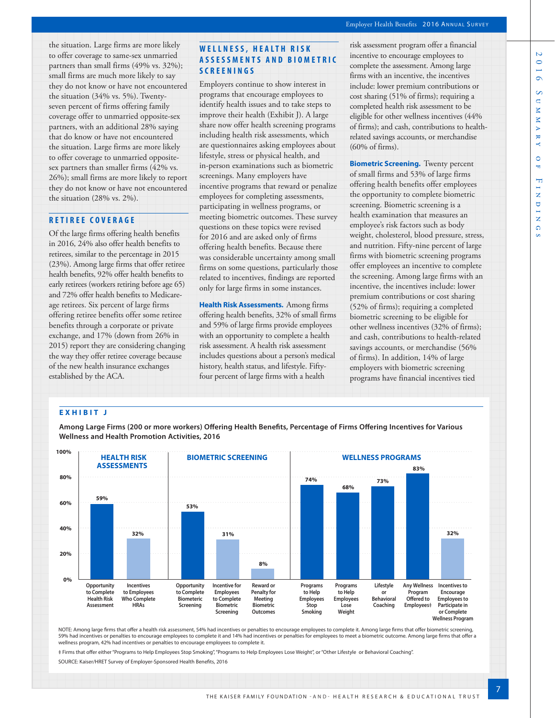the situation. Large firms are more likely to offer coverage to same-sex unmarried partners than small firms (49% vs. 32%); small firms are much more likely to say they do not know or have not encountered the situation (34% vs. 5%). Twentyseven percent of firms offering family coverage offer to unmarried opposite-sex partners, with an additional 28% saying that do know or have not encountered the situation. Large firms are more likely to offer coverage to unmarried oppositesex partners than smaller firms (42% vs. 26%); small firms are more likely to report they do not know or have not encountered the situation (28% vs. 2%).

# **RETIREE COVERAGE**

Of the large firms offering health benefits in 2016, 24% also offer health benefits to retirees, similar to the percentage in 2015 (23%). Among large firms that offer retiree health benefits, 92% offer health benefits to early retirees (workers retiring before age 65) and 72% offer health benefits to Medicareage retirees. Six percent of large firms offering retiree benefits offer some retiree benefits through a corporate or private exchange, and 17% (down from 26% in 2015) report they are considering changing the way they offer retiree coverage because of the new health insurance exchanges established by the ACA.

# **W E L L N E S S , H E A L T H R I S K A S S E S S M E N T S A N D B I O M E T R I C SCREENINGS**

Employers continue to show interest in programs that encourage employees to identify health issues and to take steps to improve their health (Exhibit J). A large share now offer health screening programs including health risk assessments, which are questionnaires asking employees about lifestyle, stress or physical health, and in-person examinations such as biometric screenings. Many employers have incentive programs that reward or penalize employees for completing assessments, participating in wellness programs, or meeting biometric outcomes. These survey questions on these topics were revised for 2016 and are asked only of firms offering health benefits. Because there was considerable uncertainty among small firms on some questions, particularly those related to incentives, findings are reported only for large firms in some instances.

**Health Risk Assessments.** Among firms offering health benefits, 32% of small firms and 59% of large firms provide employees with an opportunity to complete a health risk assessment. A health risk assessment includes questions about a person's medical history, health status, and lifestyle. Fiftyfour percent of large firms with a health

risk assessment program offer a financial incentive to encourage employees to complete the assessment. Among large firms with an incentive, the incentives include: lower premium contributions or cost sharing (51% of firms); requiring a completed health risk assessment to be eligible for other wellness incentives (44% of firms); and cash, contributions to healthrelated savings accounts, or merchandise (60% of firms).

**Biometric Screening.** Twenty percent of small firms and 53% of large firms offering health benefits offer employees the opportunity to complete biometric screening. Biometric screening is a health examination that measures an employee's risk factors such as body weight, cholesterol, blood pressure, stress, and nutrition. Fifty-nine percent of large firms with biometric screening programs offer employees an incentive to complete the screening. Among large firms with an incentive, the incentives include: lower premium contributions or cost sharing (52% of firms); requiring a completed biometric screening to be eligible for other wellness incentives (32% of firms); and cash, contributions to health-related savings accounts, or merchandise (56% of firms). In addition, 14% of large employers with biometric screening programs have financial incentives tied

## **EXHIBIT J**

**Among Large Firms (200 or more workers) Offering Health Benefits, Percentage of Firms Offering Incentives for Various Wellness and Health Promotion Activities, 2016**



NOTE: Among large firms that offer a health risk assessment, 54% had incentives or penalties to encourage employees to complete it. Among large firms that offer biometric screening, 59% had incentives or penalties to encourage employees to complete it and 14% had incentives or penalties for employees to meet a biometric outcome. Among large firms that offer a wellness program, 42% had incentives or penalties to encourage employees to complete it.

‡ Firms that offer either "Programs to Help Employees Stop Smoking", "Programs to Help Employees Lose Weight", or "Other Lifestyle or Behavioral Coaching".

SOURCE: Kaiser/HRET Survey of Employer-Sponsored Health Benefits, 2016

Ñ  $\bullet$  $\circ$  $\infty$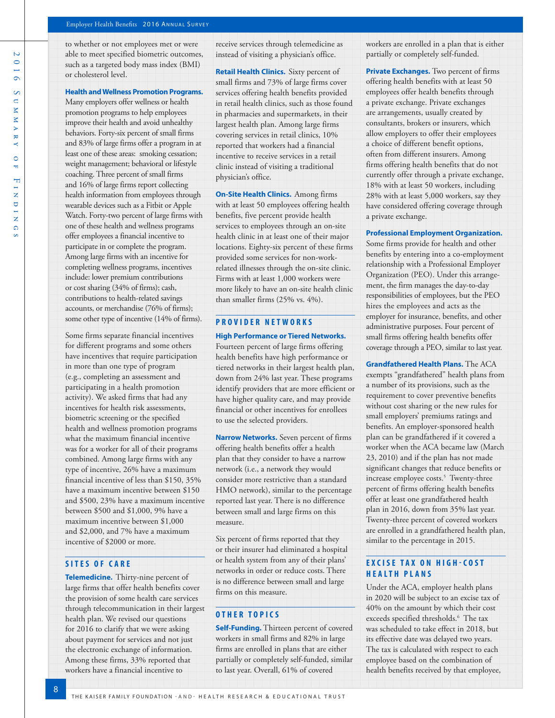$\overline{D}$ 2016 Summary of Findings  $\circ$  $\overline{\phantom{0}}$  $\circ$  $\infty$  $\overline{\mathsf{C}}$  $\overline{\mathbf{x}}$  $\overline{\mathbf{x}}$  $\overline{\triangleright}$  $\frac{1}{2}$  $\mathbf{k}$  $\circ$ H  $F_1$  $\overline{\mathbf{z}}$  $\cup$  $\frac{1}{\mathbf{Z}}$  $\Omega$ 

to whether or not employees met or were able to meet specified biometric outcomes, such as a targeted body mass index (BMI) or cholesterol level.

**Health and Wellness Promotion Programs.**

Many employers offer wellness or health promotion programs to help employees improve their health and avoid unhealthy behaviors. Forty-six percent of small firms and 83% of large firms offer a program in at least one of these areas: smoking cessation; weight management; behavioral or lifestyle coaching. Three percent of small firms and 16% of large firms report collecting health information from employees through wearable devices such as a Fitbit or Apple Watch. Forty-two percent of large firms with one of these health and wellness programs offer employees a financial incentive to participate in or complete the program. Among large firms with an incentive for completing wellness programs, incentives include: lower premium contributions or cost sharing (34% of firms); cash, contributions to health-related savings accounts, or merchandise (76% of firms); some other type of incentive (14% of firms).

Some firms separate financial incentives for different programs and some others have incentives that require participation in more than one type of program (e.g., completing an assessment and participating in a health promotion activity). We asked firms that had any incentives for health risk assessments, biometric screening or the specified health and wellness promotion programs what the maximum financial incentive was for a worker for all of their programs combined. Among large firms with any type of incentive, 26% have a maximum financial incentive of less than \$150, 35% have a maximum incentive between \$150 and \$500, 23% have a maximum incentive between \$500 and \$1,000, 9% have a maximum incentive between \$1,000 and \$2,000, and 7% have a maximum incentive of \$2000 or more.

### **SITES OF CARE**

8

**Telemedicine.** Thirty-nine percent of large firms that offer health benefits cover the provision of some health care services through telecommunication in their largest health plan. We revised our questions for 2016 to clarify that we were asking about payment for services and not just the electronic exchange of information. Among these firms, 33% reported that workers have a financial incentive to

receive services through telemedicine as instead of visiting a physician's office.

**Retail Health Clinics.** Sixty percent of small firms and 73% of large firms cover services offering health benefits provided in retail health clinics, such as those found in pharmacies and supermarkets, in their largest health plan. Among large firms covering services in retail clinics, 10% reported that workers had a financial incentive to receive services in a retail clinic instead of visiting a traditional physician's office.

**On-Site Health Clinics.** Among firms with at least 50 employees offering health benefits, five percent provide health services to employees through an on-site health clinic in at least one of their major locations. Eighty-six percent of these firms provided some services for non-workrelated illnesses through the on-site clinic. Firms with at least 1,000 workers were more likely to have an on-site health clinic than smaller firms (25% vs. 4%).

# **PROVIDER NETWORKS High Performance or Tiered Networks.**

Fourteen percent of large firms offering health benefits have high performance or tiered networks in their largest health plan, down from 24% last year. These programs identify providers that are more efficient or have higher quality care, and may provide financial or other incentives for enrollees to use the selected providers.

**Narrow Networks.** Seven percent of firms offering health benefits offer a health plan that they consider to have a narrow network (i.e., a network they would consider more restrictive than a standard HMO network), similar to the percentage reported last year. There is no difference between small and large firms on this measure.

Six percent of firms reported that they or their insurer had eliminated a hospital or health system from any of their plans' networks in order or reduce costs. There is no difference between small and large firms on this measure.

## **OTHER TOPICS**

**Self-Funding.** Thirteen percent of covered workers in small firms and 82% in large firms are enrolled in plans that are either partially or completely self-funded, similar to last year. Overall, 61% of covered

workers are enrolled in a plan that is either partially or completely self-funded.

**Private Exchanges.** Two percent of firms offering health benefits with at least 50 employees offer health benefits through a private exchange. Private exchanges are arrangements, usually created by consultants, brokers or insurers, which allow employers to offer their employees a choice of different benefit options, often from different insurers. Among firms offering health benefits that do not currently offer through a private exchange, 18% with at least 50 workers, including 28% with at least 5,000 workers, say they have considered offering coverage through a private exchange.

**Professional Employment Organization.**

Some firms provide for health and other benefits by entering into a co-employment relationship with a Professional Employer Organization (PEO). Under this arrangement, the firm manages the day-to-day responsibilities of employees, but the PEO hires the employees and acts as the employer for insurance, benefits, and other administrative purposes. Four percent of small firms offering health benefits offer coverage through a PEO, similar to last year.

**Grandfathered Health Plans.** The ACA exempts "grandfathered" health plans from a number of its provisions, such as the requirement to cover preventive benefits without cost sharing or the new rules for small employers' premiums ratings and benefits. An employer-sponsored health plan can be grandfathered if it covered a worker when the ACA became law (March 23, 2010) and if the plan has not made significant changes that reduce benefits or increase employee costs.<sup>5</sup> Twenty-three percent of firms offering health benefits offer at least one grandfathered health plan in 2016, down from 35% last year. Twenty-three percent of covered workers are enrolled in a grandfathered health plan, similar to the percentage in 2015.

# **EXCISE TAX ON HIGH-COST HEALTH PLANS**

Under the ACA, employer health plans in 2020 will be subject to an excise tax of 40% on the amount by which their cost exceeds specified thresholds.<sup>6</sup> The tax was scheduled to take effect in 2018, but its effective date was delayed two years. The tax is calculated with respect to each employee based on the combination of health benefits received by that employee,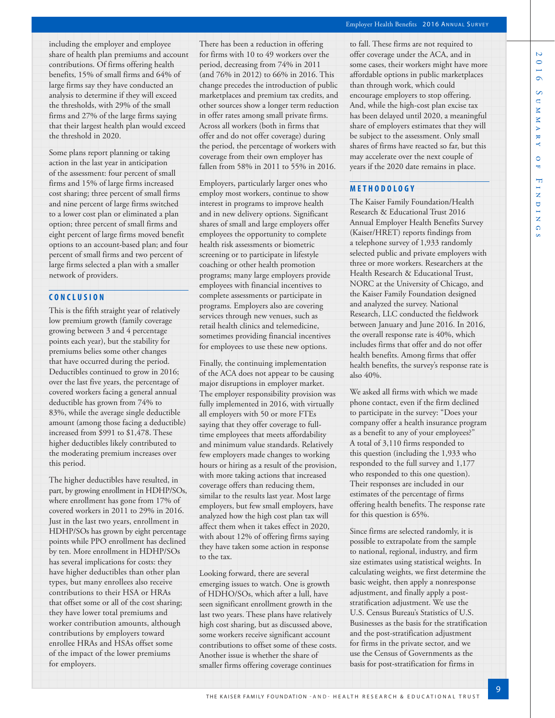Ñ

including the employer and employee share of health plan premiums and account contributions. Of firms offering health benefits, 15% of small firms and 64% of large firms say they have conducted an analysis to determine if they will exceed the thresholds, with 29% of the small firms and 27% of the large firms saying that their largest health plan would exceed the threshold in 2020.

Some plans report planning or taking action in the last year in anticipation of the assessment: four percent of small firms and 15% of large firms increased cost sharing; three percent of small firms and nine percent of large firms switched to a lower cost plan or eliminated a plan option; three percent of small firms and eight percent of large firms moved benefit options to an account-based plan; and four percent of small firms and two percent of large firms selected a plan with a smaller network of providers.

# **CONCLUSION**

This is the fifth straight year of relatively low premium growth (family coverage growing between 3 and 4 percentage points each year), but the stability for premiums belies some other changes that have occurred during the period. Deductibles continued to grow in 2016; over the last five years, the percentage of covered workers facing a general annual deductible has grown from 74% to 83%, while the average single deductible amount (among those facing a deductible) increased from \$991 to \$1,478. These higher deductibles likely contributed to the moderating premium increases over this period.

The higher deductibles have resulted, in part, by growing enrollment in HDHP/SOs, where enrollment has gone from 17% of covered workers in 2011 to 29% in 2016. Just in the last two years, enrollment in HDHP/SOs has grown by eight percentage points while PPO enrollment has declined by ten. More enrollment in HDHP/SOs has several implications for costs: they have higher deductibles than other plan types, but many enrollees also receive contributions to their HSA or HRAs that offset some or all of the cost sharing; they have lower total premiums and worker contribution amounts, although contributions by employers toward enrollee HRAs and HSAs offset some of the impact of the lower premiums for employers.

There has been a reduction in offering for firms with 10 to 49 workers over the period, decreasing from 74% in 2011 (and 76% in 2012) to 66% in 2016. This change precedes the introduction of public marketplaces and premium tax credits, and other sources show a longer term reduction in offer rates among small private firms. Across all workers (both in firms that offer and do not offer coverage) during the period, the percentage of workers with coverage from their own employer has fallen from 58% in 2011 to 55% in 2016.

Employers, particularly larger ones who employ most workers, continue to show interest in programs to improve health and in new delivery options. Significant shares of small and large employers offer employees the opportunity to complete health risk assessments or biometric screening or to participate in lifestyle coaching or other health promotion programs; many large employers provide employees with financial incentives to complete assessments or participate in programs. Employers also are covering services through new venues, such as retail health clinics and telemedicine, sometimes providing financial incentives for employees to use these new options.

Finally, the continuing implementation of the ACA does not appear to be causing major disruptions in employer market. The employer responsibility provision was fully implemented in 2016, with virtually all employers with 50 or more FTEs saying that they offer coverage to fulltime employees that meets affordability and minimum value standards. Relatively few employers made changes to working hours or hiring as a result of the provision, with more taking actions that increased coverage offers than reducing them, similar to the results last year. Most large employers, but few small employers, have analyzed how the high cost plan tax will affect them when it takes effect in 2020, with about 12% of offering firms saying they have taken some action in response to the tax.

Looking forward, there are several emerging issues to watch. One is growth of HDHO/SOs, which after a lull, have seen significant enrollment growth in the last two years. These plans have relatively high cost sharing, but as discussed above, some workers receive significant account contributions to offset some of these costs. Another issue is whether the share of smaller firms offering coverage continues

to fall. These firms are not required to offer coverage under the ACA, and in some cases, their workers might have more affordable options in public marketplaces than through work, which could encourage employers to stop offering. And, while the high-cost plan excise tax has been delayed until 2020, a meaningful share of employers estimates that they will be subject to the assessment. Only small shares of firms have reacted so far, but this may accelerate over the next couple of years if the 2020 date remains in place.

## **METHODOLOGY**

The Kaiser Family Foundation/Health Research & Educational Trust 2016 Annual Employer Health Benefits Survey (Kaiser/HRET) reports findings from a telephone survey of 1,933 randomly selected public and private employers with three or more workers. Researchers at the Health Research & Educational Trust, NORC at the University of Chicago, and the Kaiser Family Foundation designed and analyzed the survey. National Research, LLC conducted the fieldwork between January and June 2016. In 2016, the overall response rate is 40%, which includes firms that offer and do not offer health benefits. Among firms that offer health benefits, the survey's response rate is also 40%.

We asked all firms with which we made phone contact, even if the firm declined to participate in the survey: "Does your company offer a health insurance program as a benefit to any of your employees?" A total of 3,110 firms responded to this question (including the 1,933 who responded to the full survey and 1,177 who responded to this one question). Their responses are included in our estimates of the percentage of firms offering health benefits. The response rate for this question is 65%.

Since firms are selected randomly, it is possible to extrapolate from the sample to national, regional, industry, and firm size estimates using statistical weights. In calculating weights, we first determine the basic weight, then apply a nonresponse adjustment, and finally apply a poststratification adjustment. We use the U.S. Census Bureau's Statistics of U.S. Businesses as the basis for the stratification and the post-stratification adjustment for firms in the private sector, and we use the Census of Governments as the basis for post-stratification for firms in